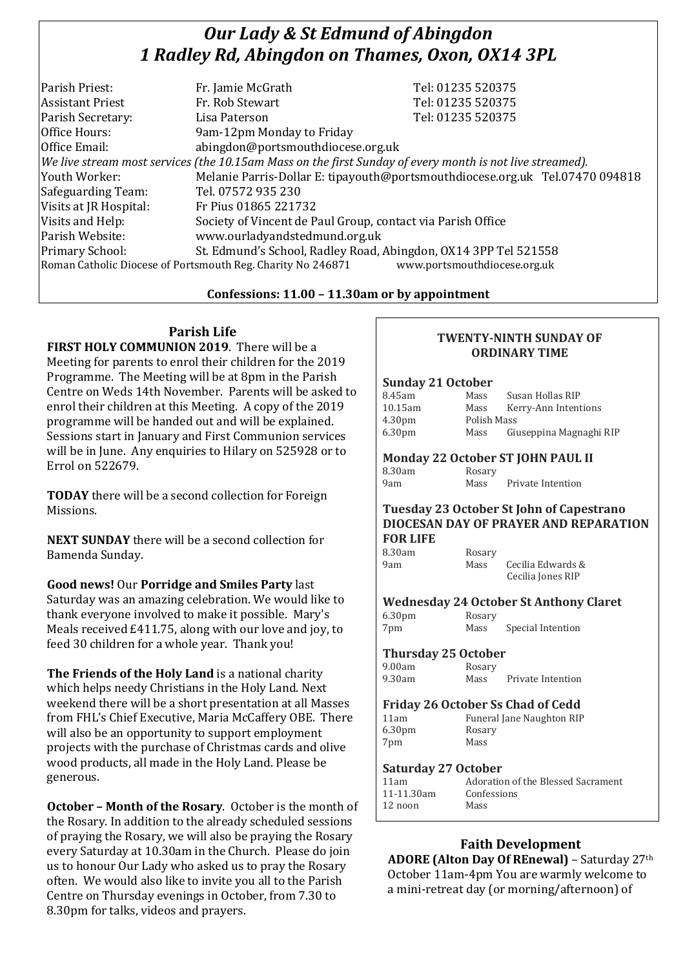# *Our Lady & St Edmund of Abingdon 1 Radley Rd, Abingdon on Thames, Oxon, OX14 3PL*

|                                                                 | Tel: 01235 520375                                                                                                                                                                            |
|-----------------------------------------------------------------|----------------------------------------------------------------------------------------------------------------------------------------------------------------------------------------------|
| Fr. Rob Stewart                                                 | Tel: 01235 520375                                                                                                                                                                            |
| Lisa Paterson                                                   | Tel: 01235 520375                                                                                                                                                                            |
| 9am-12pm Monday to Friday                                       |                                                                                                                                                                                              |
| abingdon@portsmouthdiocese.org.uk                               |                                                                                                                                                                                              |
|                                                                 |                                                                                                                                                                                              |
|                                                                 | Melanie Parris-Dollar E: tipayouth@portsmouthdiocese.org.uk Tel.07470 094818                                                                                                                 |
| Tel. 07572 935 230                                              |                                                                                                                                                                                              |
| Fr Pius 01865 221732                                            |                                                                                                                                                                                              |
| Society of Vincent de Paul Group, contact via Parish Office     |                                                                                                                                                                                              |
| www.ourladyandstedmund.org.uk                                   |                                                                                                                                                                                              |
| St. Edmund's School, Radley Road, Abingdon, OX14 3PP Tel 521558 |                                                                                                                                                                                              |
|                                                                 | www.portsmouthdiocese.org.uk                                                                                                                                                                 |
|                                                                 | Fr. Jamie McGrath<br>We live stream most services (the 10.15am Mass on the first Sunday of every month is not live streamed).<br>Roman Catholic Diocese of Portsmouth Reg. Charity No 246871 |

## **Confessions: 11.00 – 11.30am or by appointment**

## **Parish Life**

**FIRST HOLY COMMUNION 2019**. There will be a Meeting for parents to enrol their children for the 2019 Programme. The Meeting will be at 8pm in the Parish Centre on Weds 14th November. Parents will be asked to enrol their children at this Meeting. A copy of the 2019 programme will be handed out and will be explained. Sessions start in January and First Communion services will be in June. Any enquiries to Hilary on 525928 or to Errol on 522679.

**TODAY** there will be a second collection for Foreign Missions.

**NEXT SUNDAY** there will be a second collection for Bamenda Sunday.

**Good news!** Our **Porridge and Smiles Party** last Saturday was an amazing celebration. We would like to thank everyone involved to make it possible. Mary's Meals received £411.75, along with our love and joy, to feed 30 children for a whole year. Thank you!

**The Friends of the Holy Land** is a national charity which helps needy Christians in the Holy Land. Next weekend there will be a short presentation at all Masses from FHL's Chief Executive, Maria McCaffery OBE. There will also be an opportunity to support employment projects with the purchase of Christmas cards and olive wood products, all made in the Holy Land. Please be generous.

**October – Month of the Rosary**. October is the month of the Rosary. In addition to the already scheduled sessions of praying the Rosary, we will also be praying the Rosary every Saturday at 10.30am in the Church. Please do join us to honour Our Lady who asked us to pray the Rosary often. We would also like to invite you all to the Parish Centre on Thursday evenings in October, from 7.30 to 8.30pm for talks, videos and prayers.

#### **TWENTY-NINTH SUNDAY OF ORDINARY TIME**

#### **Sunday 21 October**

| 8.45am             | Mass        | Susan Hollas RIP        |  |
|--------------------|-------------|-------------------------|--|
| 10.15am            | Mass        | Kerry-Ann Intentions    |  |
| 4.30 <sub>pm</sub> | Polish Mass |                         |  |
| 6.30 <sub>pm</sub> | Mass        | Giuseppina Magnaghi RIP |  |

#### **Monday 22 October ST JOHN PAUL II** 8.30am Rosary

9am Mass Private Intention

#### **Tuesday 23 October St John of Capestrano DIOCESAN DAY OF PRAYER AND REPARATION FOR LIFE**

#### 8.30am Rosary 9am Mass Cecilia Edwards & Cecilia Jones RIP

## **Wednesday 24 October St Anthony Claret**

| 6.30pm |
|--------|
| DIL    |

Rosary Mass Special Intention

## **Thursday 25 October**

| 9.00am | Rosary |                   |
|--------|--------|-------------------|
| 9.30am | Mass   | Private Intention |

#### **Friday 26 October Ss Chad of Cedd**

6.30pm Rosary 7pm Mass

11am Funeral Jane Naughton RIP

## **Saturday 27 October**

| 11am       | Adoration of the Blessed Sacrament |
|------------|------------------------------------|
| 11-11.30am | Confessions                        |
| $12$ noon  | Mass                               |
|            |                                    |

## **Faith Development**

**ADORE (Alton Day Of REnewal)** – Saturday 27th October 11am-4pm You are warmly welcome to a mini-retreat day (or morning/afternoon) of